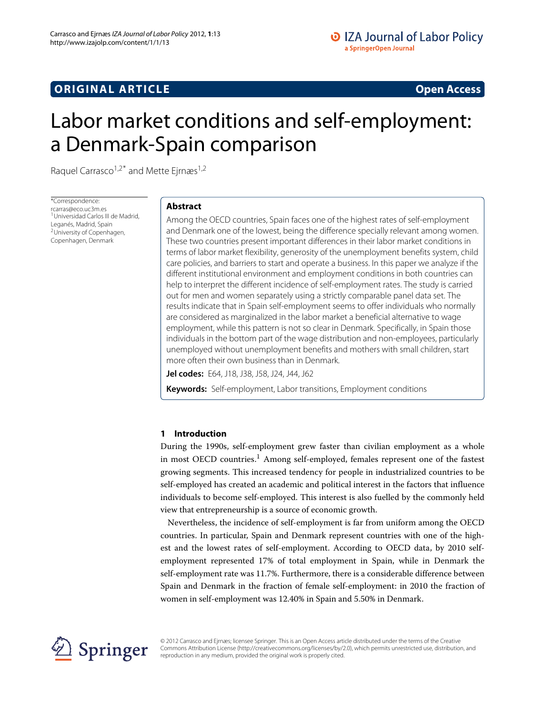# **ORIGINAL ARTICLE Open Access**

# Labor market conditions and self-employment: a Denmark-Spain comparison

Raquel Carrasco<sup>1,2\*</sup> and Mette Ejrnæs<sup>1,2</sup>

\*Correspondence: rcarras@eco.uc3m.es 1Universidad Carlos III de Madrid, Leganés, Madrid, Spain 2University of Copenhagen, Copenhagen, Denmark

# **Abstract**

Among the OECD countries, Spain faces one of the highest rates of self-employment and Denmark one of the lowest, being the difference specially relevant among women. These two countries present important differences in their labor market conditions in terms of labor market flexibility, generosity of the unemployment benefits system, child care policies, and barriers to start and operate a business. In this paper we analyze if the different institutional environment and employment conditions in both countries can help to interpret the different incidence of self-employment rates. The study is carried out for men and women separately using a strictly comparable panel data set. The results indicate that in Spain self-employment seems to offer individuals who normally are considered as marginalized in the labor market a beneficial alternative to wage employment, while this pattern is not so clear in Denmark. Specifically, in Spain those individuals in the bottom part of the wage distribution and non-employees, particularly unemployed without unemployment benefits and mothers with small children, start more often their own business than in Denmark.

**Jel codes:** E64, J18, J38, J58, J24, J44, J62

**Keywords:** Self-employment, Labor transitions, Employment conditions

# **1 Introduction**

During the 1990s, self-employment grew faster than civilian employment as a whole in most OECD countries.<sup>1</sup> Among self-employed, females represent one of the fastest growing segments. This increased tendency for people in industrialized countries to be self-employed has created an academic and political interest in the factors that influence individuals to become self-employed. This interest is also fuelled by the commonly held view that entrepreneurship is a source of economic growth.

Nevertheless, the incidence of self-employment is far from uniform among the OECD countries. In particular, Spain and Denmark represent countries with one of the highest and the lowest rates of self-employment. According to OECD data, by 2010 selfemployment represented 17% of total employment in Spain, while in Denmark the self-employment rate was 11.7%. Furthermore, there is a considerable difference between Spain and Denmark in the fraction of female self-employment: in 2010 the fraction of women in self-employment was 12.40% in Spain and 5.50% in Denmark.



© 2012 Carrasco and Ejrnæs; licensee Springer. This is an Open Access article distributed under the terms of the Creative Commons Attribution License (http://creativecommons.org/licenses/by/2.0), which permits unrestricted use, distribution, and reproduction in any medium, provided the original work is properly cited.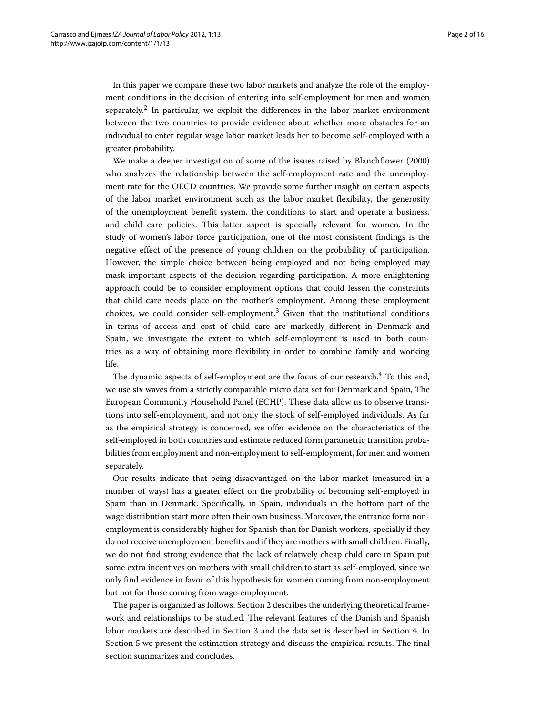In this paper we compare these two labor markets and analyze the role of the employment conditions in the decision of entering into self-employment for men and women separately.<sup>2</sup> In particular, we exploit the differences in the labor market environment between the two countries to provide evidence about whether more obstacles for an individual to enter regular wage labor market leads her to become self-employed with a greater probability.

We make a deeper investigation of some of the issues raised by Blanchflower [\(2000\)](#page-14-0) who analyzes the relationship between the self-employment rate and the unemployment rate for the OECD countries. We provide some further insight on certain aspects of the labor market environment such as the labor market flexibility, the generosity of the unemployment benefit system, the conditions to start and operate a business, and child care policies. This latter aspect is specially relevant for women. In the study of women's labor force participation, one of the most consistent findings is the negative effect of the presence of young children on the probability of participation. However, the simple choice between being employed and not being employed may mask important aspects of the decision regarding participation. A more enlightening approach could be to consider employment options that could lessen the constraints that child care needs place on the mother's employment. Among these employment choices, we could consider self-employment.<sup>3</sup> Given that the institutional conditions in terms of access and cost of child care are markedly different in Denmark and Spain, we investigate the extent to which self-employment is used in both countries as a way of obtaining more flexibility in order to combine family and working life.

The dynamic aspects of self-employment are the focus of our research.<sup>4</sup> To this end, we use six waves from a strictly comparable micro data set for Denmark and Spain, The European Community Household Panel (ECHP). These data allow us to observe transitions into self-employment, and not only the stock of self-employed individuals. As far as the empirical strategy is concerned, we offer evidence on the characteristics of the self-employed in both countries and estimate reduced form parametric transition probabilities from employment and non-employment to self-employment, for men and women separately.

Our results indicate that being disadvantaged on the labor market (measured in a number of ways) has a greater effect on the probability of becoming self-employed in Spain than in Denmark. Specifically, in Spain, individuals in the bottom part of the wage distribution start more often their own business. Moreover, the entrance form nonemployment is considerably higher for Spanish than for Danish workers, specially if they do not receive unemployment benefits and if they are mothers with small children. Finally, we do not find strong evidence that the lack of relatively cheap child care in Spain put some extra incentives on mothers with small children to start as self-employed, since we only find evidence in favor of this hypothesis for women coming from non-employment but not for those coming from wage-employment.

The paper is organized as follows. Section [2](#page-2-0) describes the underlying theoretical framework and relationships to be studied. The relevant features of the Danish and Spanish labor markets are described in Section [3](#page-3-0) and the data set is described in Section [4.](#page-6-0) In Section [5](#page-7-0) we present the estimation strategy and discuss the empirical results. The final section summarizes and concludes.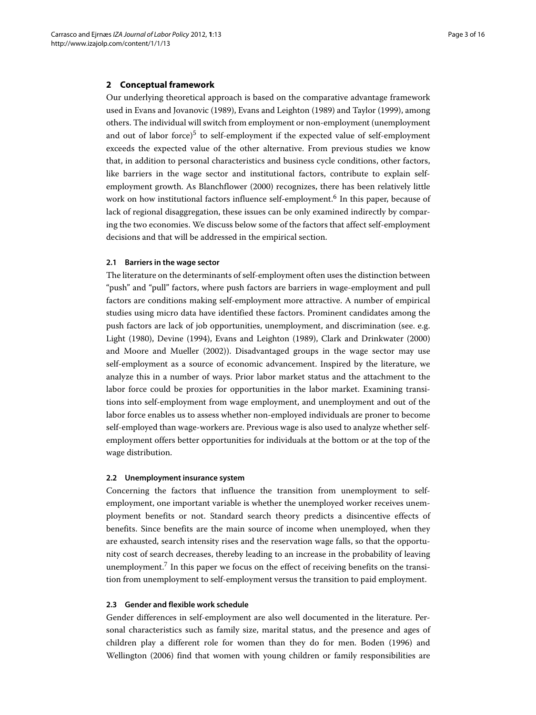#### <span id="page-2-0"></span>**2 Conceptual framework**

Our underlying theoretical approach is based on the comparative advantage framework used in Evans and Jovanovic [\(1989\)](#page-14-1), Evans and Leighton [\(1989\)](#page-14-2) and Taylor [\(1999\)](#page-15-0), among others. The individual will switch from employment or non-employment (unemployment and out of labor force)<sup>5</sup> to self-employment if the expected value of self-employment exceeds the expected value of the other alternative. From previous studies we know that, in addition to personal characteristics and business cycle conditions, other factors, like barriers in the wage sector and institutional factors, contribute to explain selfemployment growth. As Blanchflower [\(2000\)](#page-14-0) recognizes, there has been relatively little work on how institutional factors influence self-employment.<sup>6</sup> In this paper, because of lack of regional disaggregation, these issues can be only examined indirectly by comparing the two economies. We discuss below some of the factors that affect self-employment decisions and that will be addressed in the empirical section.

#### **2.1 Barriers in the wage sector**

The literature on the determinants of self-employment often uses the distinction between "push" and "pull" factors, where push factors are barriers in wage-employment and pull factors are conditions making self-employment more attractive. A number of empirical studies using micro data have identified these factors. Prominent candidates among the push factors are lack of job opportunities, unemployment, and discrimination (see. e.g. Light [\(1980\)](#page-15-1), Devine [\(1994\)](#page-14-3), Evans and Leighton [\(1989\)](#page-14-2), Clark and Drinkwater [\(2000\)](#page-14-4) and Moore and Mueller [\(2002\)](#page-15-2)). Disadvantaged groups in the wage sector may use self-employment as a source of economic advancement. Inspired by the literature, we analyze this in a number of ways. Prior labor market status and the attachment to the labor force could be proxies for opportunities in the labor market. Examining transitions into self-employment from wage employment, and unemployment and out of the labor force enables us to assess whether non-employed individuals are proner to become self-employed than wage-workers are. Previous wage is also used to analyze whether selfemployment offers better opportunities for individuals at the bottom or at the top of the wage distribution.

#### **2.2 Unemployment insurance system**

Concerning the factors that influence the transition from unemployment to selfemployment, one important variable is whether the unemployed worker receives unemployment benefits or not. Standard search theory predicts a disincentive effects of benefits. Since benefits are the main source of income when unemployed, when they are exhausted, search intensity rises and the reservation wage falls, so that the opportunity cost of search decreases, thereby leading to an increase in the probability of leaving unemployment.<sup>7</sup> In this paper we focus on the effect of receiving benefits on the transition from unemployment to self-employment versus the transition to paid employment.

#### **2.3 Gender and flexible work schedule**

Gender differences in self-employment are also well documented in the literature. Personal characteristics such as family size, marital status, and the presence and ages of children play a different role for women than they do for men. Boden [\(1996\)](#page-14-5) and Wellington [\(2006\)](#page-15-3) find that women with young children or family responsibilities are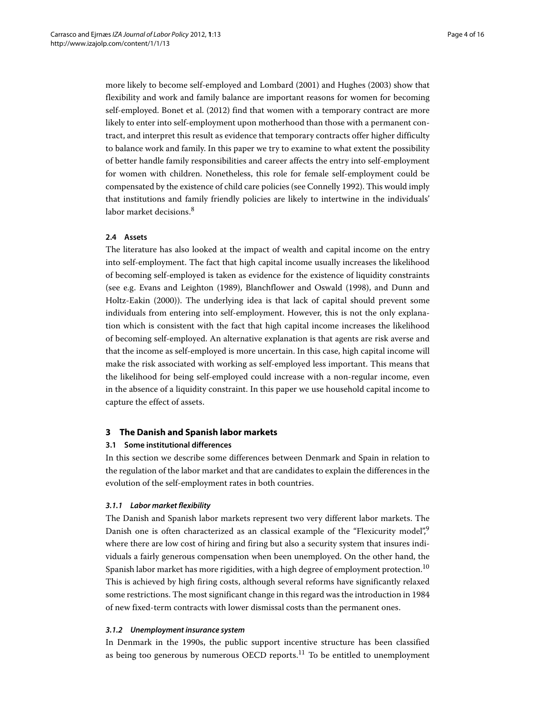more likely to become self-employed and Lombard [\(2001\)](#page-15-4) and Hughes [\(2003\)](#page-15-5) show that flexibility and work and family balance are important reasons for women for becoming self-employed. Bonet et al. [\(2012\)](#page-14-6) find that women with a temporary contract are more likely to enter into self-employment upon motherhood than those with a permanent contract, and interpret this result as evidence that temporary contracts offer higher difficulty to balance work and family. In this paper we try to examine to what extent the possibility of better handle family responsibilities and career affects the entry into self-employment for women with children. Nonetheless, this role for female self-employment could be compensated by the existence of child care policies (see Connelly [1992\)](#page-14-7). This would imply that institutions and family friendly policies are likely to intertwine in the individuals' labor market decisions.<sup>8</sup>

#### **2.4 Assets**

The literature has also looked at the impact of wealth and capital income on the entry into self-employment. The fact that high capital income usually increases the likelihood of becoming self-employed is taken as evidence for the existence of liquidity constraints (see e.g. Evans and Leighton [\(1989\)](#page-14-2), Blanchflower and Oswald [\(1998\)](#page-14-8), and Dunn and Holtz-Eakin [\(2000\)](#page-14-9)). The underlying idea is that lack of capital should prevent some individuals from entering into self-employment. However, this is not the only explanation which is consistent with the fact that high capital income increases the likelihood of becoming self-employed. An alternative explanation is that agents are risk averse and that the income as self-employed is more uncertain. In this case, high capital income will make the risk associated with working as self-employed less important. This means that the likelihood for being self-employed could increase with a non-regular income, even in the absence of a liquidity constraint. In this paper we use household capital income to capture the effect of assets.

#### <span id="page-3-0"></span>**3 The Danish and Spanish labor markets**

#### **3.1 Some institutional differences**

In this section we describe some differences between Denmark and Spain in relation to the regulation of the labor market and that are candidates to explain the differences in the evolution of the self-employment rates in both countries.

#### *3.1.1 Labor market flexibility*

The Danish and Spanish labor markets represent two very different labor markets. The Danish one is often characterized as an classical example of the "Flexicurity model",<sup>9</sup> where there are low cost of hiring and firing but also a security system that insures individuals a fairly generous compensation when been unemployed. On the other hand, the Spanish labor market has more rigidities, with a high degree of employment protection.<sup>10</sup> This is achieved by high firing costs, although several reforms have significantly relaxed some restrictions. The most significant change in this regard was the introduction in 1984 of new fixed-term contracts with lower dismissal costs than the permanent ones.

#### *3.1.2 Unemployment insurance system*

In Denmark in the 1990s, the public support incentive structure has been classified as being too generous by numerous OECD reports.<sup>11</sup> To be entitled to unemployment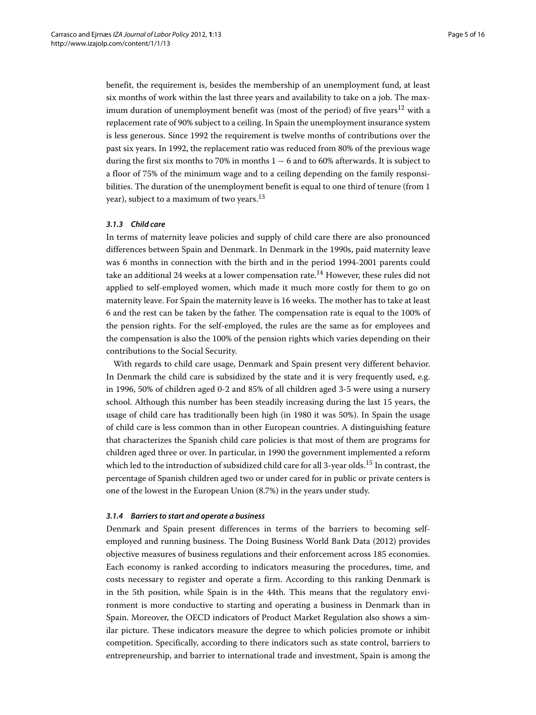benefit, the requirement is, besides the membership of an unemployment fund, at least six months of work within the last three years and availability to take on a job. The maximum duration of unemployment benefit was (most of the period) of five years<sup>12</sup> with a replacement rate of 90% subject to a ceiling. In Spain the unemployment insurance system is less generous. Since 1992 the requirement is twelve months of contributions over the past six years. In 1992, the replacement ratio was reduced from 80% of the previous wage during the first six months to 70% in months  $1 - 6$  and to 60% afterwards. It is subject to a floor of 75% of the minimum wage and to a ceiling depending on the family responsibilities. The duration of the unemployment benefit is equal to one third of tenure (from 1 year), subject to a maximum of two years.<sup>13</sup>

#### *3.1.3 Child care*

In terms of maternity leave policies and supply of child care there are also pronounced differences between Spain and Denmark. In Denmark in the 1990s, paid maternity leave was 6 months in connection with the birth and in the period 1994-2001 parents could take an additional 24 weeks at a lower compensation rate.<sup>14</sup> However, these rules did not applied to self-employed women, which made it much more costly for them to go on maternity leave. For Spain the maternity leave is 16 weeks. The mother has to take at least 6 and the rest can be taken by the father. The compensation rate is equal to the 100% of the pension rights. For the self-employed, the rules are the same as for employees and the compensation is also the 100% of the pension rights which varies depending on their contributions to the Social Security.

With regards to child care usage, Denmark and Spain present very different behavior. In Denmark the child care is subsidized by the state and it is very frequently used, e.g. in 1996, 50% of children aged 0-2 and 85% of all children aged 3-5 were using a nursery school. Although this number has been steadily increasing during the last 15 years, the usage of child care has traditionally been high (in 1980 it was 50%). In Spain the usage of child care is less common than in other European countries. A distinguishing feature that characterizes the Spanish child care policies is that most of them are programs for children aged three or over. In particular, in 1990 the government implemented a reform which led to the introduction of subsidized child care for all 3-year olds.<sup>15</sup> In contrast, the percentage of Spanish children aged two or under cared for in public or private centers is one of the lowest in the European Union (8.7%) in the years under study.

#### *3.1.4 Barriers to start and operate a business*

Denmark and Spain present differences in terms of the barriers to becoming selfemployed and running business. The Doing Business World Bank Data [\(2012\)](#page-15-6) provides objective measures of business regulations and their enforcement across 185 economies. Each economy is ranked according to indicators measuring the procedures, time, and costs necessary to register and operate a firm. According to this ranking Denmark is in the 5th position, while Spain is in the 44th. This means that the regulatory environment is more conductive to starting and operating a business in Denmark than in Spain. Moreover, the OECD indicators of Product Market Regulation also shows a similar picture. These indicators measure the degree to which policies promote or inhibit competition. Specifically, according to there indicators such as state control, barriers to entrepreneurship, and barrier to international trade and investment, Spain is among the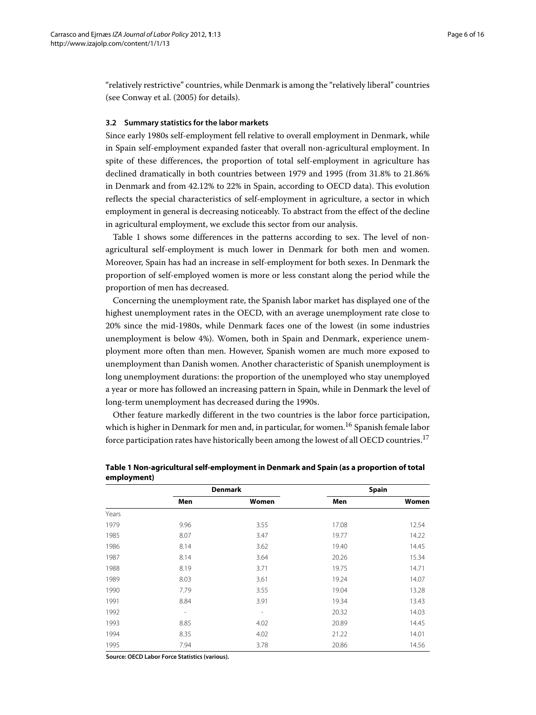"relatively restrictive" countries, while Denmark is among the "relatively liberal" countries (see Conway et al. [\(2005\)](#page-14-10) for details).

#### **3.2 Summary statistics for the labor markets**

Since early 1980s self-employment fell relative to overall employment in Denmark, while in Spain self-employment expanded faster that overall non-agricultural employment. In spite of these differences, the proportion of total self-employment in agriculture has declined dramatically in both countries between 1979 and 1995 (from 31.8% to 21.86% in Denmark and from 42.12% to 22% in Spain, according to OECD data). This evolution reflects the special characteristics of self-employment in agriculture, a sector in which employment in general is decreasing noticeably. To abstract from the effect of the decline in agricultural employment, we exclude this sector from our analysis.

Table [1](#page-5-0) shows some differences in the patterns according to sex. The level of nonagricultural self-employment is much lower in Denmark for both men and women. Moreover, Spain has had an increase in self-employment for both sexes. In Denmark the proportion of self-employed women is more or less constant along the period while the proportion of men has decreased.

Concerning the unemployment rate, the Spanish labor market has displayed one of the highest unemployment rates in the OECD, with an average unemployment rate close to 20% since the mid-1980s, while Denmark faces one of the lowest (in some industries unemployment is below 4%). Women, both in Spain and Denmark, experience unemployment more often than men. However, Spanish women are much more exposed to unemployment than Danish women. Another characteristic of Spanish unemployment is long unemployment durations: the proportion of the unemployed who stay unemployed a year or more has followed an increasing pattern in Spain, while in Denmark the level of long-term unemployment has decreased during the 1990s.

Other feature markedly different in the two countries is the labor force participation, which is higher in Denmark for men and, in particular, for women.<sup>16</sup> Spanish female labor force participation rates have historically been among the lowest of all OECD countries.<sup>17</sup>

|       | <b>Denmark</b>           |                          |       | Spain |
|-------|--------------------------|--------------------------|-------|-------|
|       | Men                      | Women                    | Men   | Women |
| Years |                          |                          |       |       |
| 1979  | 9.96                     | 3.55                     | 17.08 | 12.54 |
| 1985  | 8.07                     | 3.47                     | 19.77 | 14.22 |
| 1986  | 8.14                     | 3.62                     | 19.40 | 14.45 |
| 1987  | 8.14                     | 3.64                     | 20.26 | 15.34 |
| 1988  | 8.19                     | 3.71                     | 19.75 | 14.71 |
| 1989  | 8.03                     | 3.61                     | 19.24 | 14.07 |
| 1990  | 7.79                     | 3.55                     | 19.04 | 13.28 |
| 1991  | 8.84                     | 3.91                     | 19.34 | 13.43 |
| 1992  | $\overline{\phantom{a}}$ | $\overline{\phantom{a}}$ | 20.32 | 14.03 |
| 1993  | 8.85                     | 4.02                     | 20.89 | 14.45 |
| 1994  | 8.35                     | 4.02                     | 21.22 | 14.01 |
| 1995  | 7.94                     | 3.78                     | 20.86 | 14.56 |

<span id="page-5-0"></span>**Table 1 Non-agricultural self-employment in Denmark and Spain (as a proportion of total employment)**

**Source: OECD Labor Force Statistics (various).**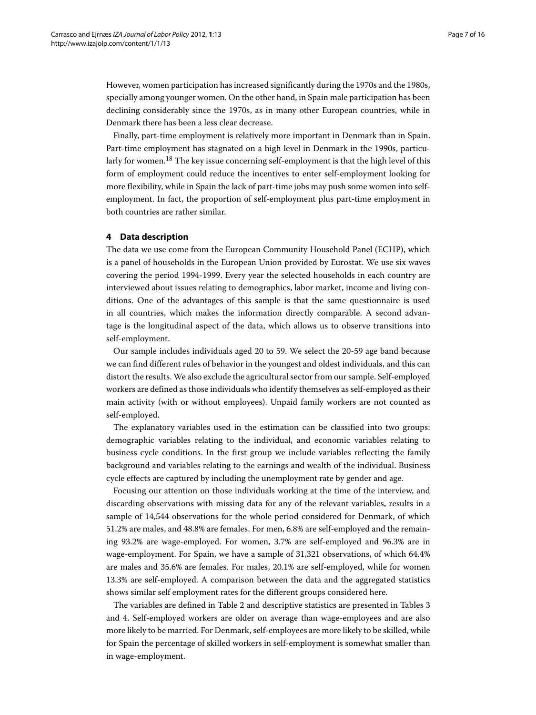However, women participation has increased significantly during the 1970s and the 1980s, specially among younger women. On the other hand, in Spain male participation has been declining considerably since the 1970s, as in many other European countries, while in Denmark there has been a less clear decrease.

Finally, part-time employment is relatively more important in Denmark than in Spain. Part-time employment has stagnated on a high level in Denmark in the 1990s, particularly for women.<sup>18</sup> The key issue concerning self-employment is that the high level of this form of employment could reduce the incentives to enter self-employment looking for more flexibility, while in Spain the lack of part-time jobs may push some women into selfemployment. In fact, the proportion of self-employment plus part-time employment in both countries are rather similar.

#### <span id="page-6-0"></span>**4 Data description**

The data we use come from the European Community Household Panel (ECHP), which is a panel of households in the European Union provided by Eurostat. We use six waves covering the period 1994-1999. Every year the selected households in each country are interviewed about issues relating to demographics, labor market, income and living conditions. One of the advantages of this sample is that the same questionnaire is used in all countries, which makes the information directly comparable. A second advantage is the longitudinal aspect of the data, which allows us to observe transitions into self-employment.

Our sample includes individuals aged 20 to 59. We select the 20-59 age band because we can find different rules of behavior in the youngest and oldest individuals, and this can distort the results. We also exclude the agricultural sector from our sample. Self-employed workers are defined as those individuals who identify themselves as self-employed as their main activity (with or without employees). Unpaid family workers are not counted as self-employed.

The explanatory variables used in the estimation can be classified into two groups: demographic variables relating to the individual, and economic variables relating to business cycle conditions. In the first group we include variables reflecting the family background and variables relating to the earnings and wealth of the individual. Business cycle effects are captured by including the unemployment rate by gender and age.

Focusing our attention on those individuals working at the time of the interview, and discarding observations with missing data for any of the relevant variables, results in a sample of 14,544 observations for the whole period considered for Denmark, of which 51.2% are males, and 48.8% are females. For men, 6.8% are self-employed and the remaining 93.2% are wage-employed. For women, 3.7% are self-employed and 96.3% are in wage-employment. For Spain, we have a sample of 31,321 observations, of which 64.4% are males and 35.6% are females. For males, 20.1% are self-employed, while for women 13.3% are self-employed. A comparison between the data and the aggregated statistics shows similar self employment rates for the different groups considered here.

The variables are defined in Table [2](#page-7-1) and descriptive statistics are presented in Tables [3](#page-8-0) and [4.](#page-9-0) Self-employed workers are older on average than wage-employees and are also more likely to be married. For Denmark, self-employees are more likely to be skilled, while for Spain the percentage of skilled workers in self-employment is somewhat smaller than in wage-employment.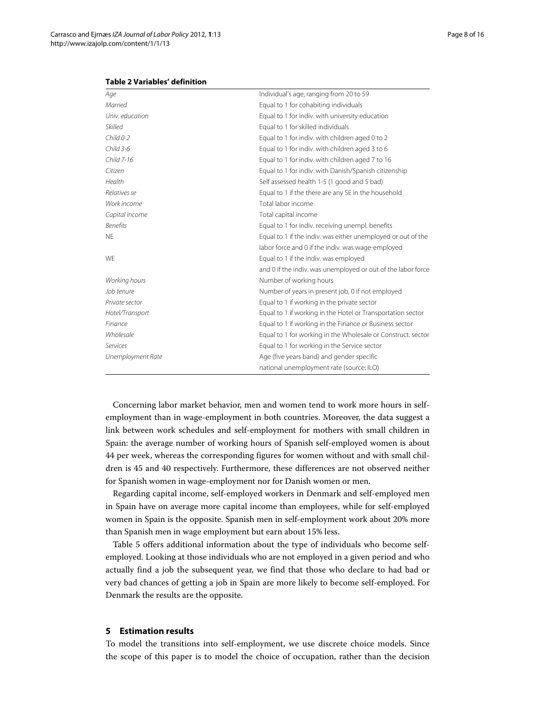<span id="page-7-1"></span>

| Age               | Individual's age, ranging from 20 to 59                      |
|-------------------|--------------------------------------------------------------|
| Married           | Equal to 1 for cohabiting individuals                        |
| Univ. education   | Equal to 1 for indiv. with university education              |
| Skilled           | Equal to 1 for skilled individuals                           |
| $Child 0-2$       | Equal to 1 for indiv. with children aged 0 to 2              |
| $Child 3-6$       | Equal to 1 for indiv. with children aged 3 to 6              |
| Child 7-16        | Equal to 1 for indiv. with children aged 7 to 16             |
| Citizen           | Equal to 1 for indiv. with Danish/Spanish citizenship        |
| Health            | Self assessed health 1-5 (1 good and 5 bad)                  |
| Relatives se      | Equal to 1 if the there are any SE in the household          |
| Work income       | Total labor income                                           |
| Capital income    | Total capital income                                         |
| <b>Benefits</b>   | Equal to 1 for indiv. receiving unempl. benefits             |
| <b>NE</b>         | Equal to 1 if the indiv. was either unemployed or out of the |
|                   | labor force and 0 if the indiv. was wage-employed            |
| WE                | Equal to 1 if the indiv. was employed                        |
|                   | and 0 if the indiv. was unemployed or out of the labor force |
| Working hours     | Number of working hours                                      |
| Job tenure        | Number of years in present job, 0 if not employed            |
| Private sector    | Equal to 1 if working in the private sector                  |
| Hotel/Transport   | Equal to 1 if working in the Hotel or Transportation sector  |
| Finance           | Equal to 1 if working in the Finance or Business sector      |
| Wholesale         | Equal to 1 for working in the Wholesale or Construct. sector |
| Services          | Equal to 1 for working in the Service sector                 |
| Unemployment Rate | Age (five years band) and gender specific                    |
|                   | national unemployment rate (source: ILO)                     |

#### **Table 2 Variables' definition**

Concerning labor market behavior, men and women tend to work more hours in selfemployment than in wage-employment in both countries. Moreover, the data suggest a link between work schedules and self-employment for mothers with small children in Spain: the average number of working hours of Spanish self-employed women is about 44 per week, whereas the corresponding figures for women without and with small children is 45 and 40 respectively. Furthermore, these differences are not observed neither for Spanish women in wage-employment nor for Danish women or men.

Regarding capital income, self-employed workers in Denmark and self-employed men in Spain have on average more capital income than employees, while for self-employed women in Spain is the opposite. Spanish men in self-employment work about 20% more than Spanish men in wage employment but earn about 15% less.

Table [5](#page-9-1) offers additional information about the type of individuals who become selfemployed. Looking at those individuals who are not employed in a given period and who actually find a job the subsequent year, we find that those who declare to had bad or very bad chances of getting a job in Spain are more likely to become self-employed. For Denmark the results are the opposite.

#### <span id="page-7-0"></span>**5 Estimation results**

To model the transitions into self-employment, we use discrete choice models. Since the scope of this paper is to model the choice of occupation, rather than the decision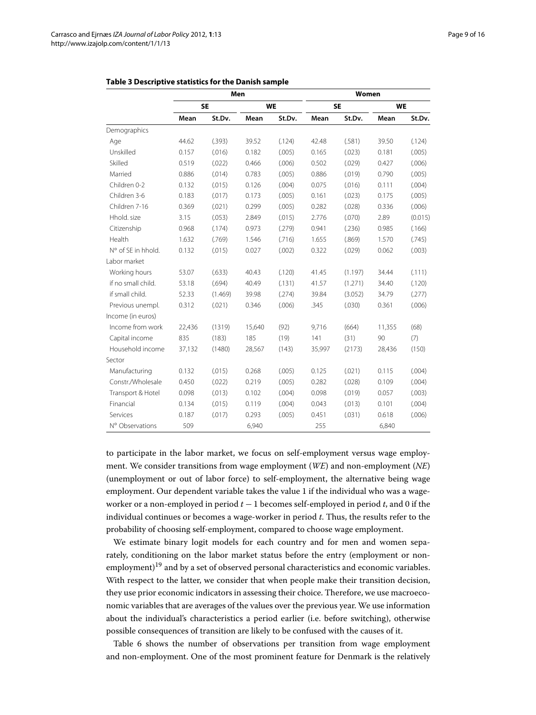<span id="page-8-0"></span>

|                    | Men    |           |        |           | Women  |           |           |         |
|--------------------|--------|-----------|--------|-----------|--------|-----------|-----------|---------|
|                    |        | <b>SE</b> |        | <b>WE</b> |        | <b>SE</b> | <b>WE</b> |         |
|                    | Mean   | St.Dv.    | Mean   | St.Dv.    | Mean   | St.Dv.    | Mean      | St.Dv.  |
| Demographics       |        |           |        |           |        |           |           |         |
| Age                | 44.62  | (.393)    | 39.52  | (.124)    | 42.48  | (.581)    | 39.50     | (.124)  |
| Unskilled          | 0.157  | (.016)    | 0.182  | (.005)    | 0.165  | (.023)    | 0.181     | (.005)  |
| Skilled            | 0.519  | (.022)    | 0.466  | (.006)    | 0.502  | (.029)    | 0.427     | (.006)  |
| Married            | 0.886  | (.014)    | 0.783  | (.005)    | 0.886  | (.019)    | 0.790     | (.005)  |
| Children 0-2       | 0.132  | (.015)    | 0.126  | (.004)    | 0.075  | (.016)    | 0.111     | (.004)  |
| Children 3-6       | 0.183  | (.017)    | 0.173  | (.005)    | 0.161  | (.023)    | 0.175     | (.005)  |
| Children 7-16      | 0.369  | (.021)    | 0.299  | (.005)    | 0.282  | (.028)    | 0.336     | (.006)  |
| Hhold, size        | 3.15   | (.053)    | 2.849  | (.015)    | 2.776  | (.070)    | 2.89      | (0.015) |
| Citizenship        | 0.968  | (.174)    | 0.973  | (.279)    | 0.941  | (.236)    | 0.985     | (.166)  |
| Health             | 1.632  | (.769)    | 1.546  | (.716)    | 1.655  | (.869)    | 1.570     | (.745)  |
| N° of SE in hhold. | 0.132  | (.015)    | 0.027  | (.002)    | 0.322  | (.029)    | 0.062     | (.003)  |
| Labor market       |        |           |        |           |        |           |           |         |
| Working hours      | 53.07  | (.633)    | 40.43  | (.120)    | 41.45  | (1.197)   | 34.44     | (.111)  |
| if no small child. | 53.18  | (.694)    | 40.49  | (.131)    | 41.57  | (1.271)   | 34.40     | (.120)  |
| if small child.    | 52.33  | (1.469)   | 39.98  | (.274)    | 39.84  | (3.052)   | 34.79     | (.277)  |
| Previous unempl.   | 0.312  | (.021)    | 0.346  | (.006)    | .345   | (.030)    | 0.361     | (.006)  |
| Income (in euros)  |        |           |        |           |        |           |           |         |
| Income from work   | 22,436 | (1319)    | 15,640 | (92)      | 9,716  | (664)     | 11,355    | (68)    |
| Capital income     | 835    | (183)     | 185    | (19)      | 141    | (31)      | 90        | (7)     |
| Household income   | 37,132 | (1480)    | 28,567 | (143)     | 35,997 | (2173)    | 28,436    | (150)   |
| Sector             |        |           |        |           |        |           |           |         |
| Manufacturing      | 0.132  | (.015)    | 0.268  | (.005)    | 0.125  | (.021)    | 0.115     | (.004)  |
| Constr./Wholesale  | 0.450  | (.022)    | 0.219  | (.005)    | 0.282  | (.028)    | 0.109     | (.004)  |
| Transport & Hotel  | 0.098  | (.013)    | 0.102  | (.004)    | 0.098  | (.019)    | 0.057     | (.003)  |
| Financial          | 0.134  | (.015)    | 0.119  | (.004)    | 0.043  | (.013)    | 0.101     | (.004)  |
| Services           | 0.187  | (.017)    | 0.293  | (.005)    | 0.451  | (.031)    | 0.618     | (.006)  |
| N° Observations    | 509    |           | 6,940  |           | 255    |           | 6,840     |         |

#### **Table 3 Descriptive statistics for the Danish sample**

to participate in the labor market, we focus on self-employment versus wage employment. We consider transitions from wage employment (*WE*) and non-employment (*NE*) (unemployment or out of labor force) to self-employment, the alternative being wage employment. Our dependent variable takes the value 1 if the individual who was a wageworker or a non-employed in period *t* − 1 becomes self-employed in period *t*, and 0 if the individual continues or becomes a wage-worker in period *t*. Thus, the results refer to the probability of choosing self-employment, compared to choose wage employment.

We estimate binary logit models for each country and for men and women separately, conditioning on the labor market status before the entry (employment or non $e$ employment)<sup>19</sup> and by a set of observed personal characteristics and economic variables. With respect to the latter, we consider that when people make their transition decision, they use prior economic indicators in assessing their choice. Therefore, we use macroeconomic variables that are averages of the values over the previous year. We use information about the individual's characteristics a period earlier (i.e. before switching), otherwise possible consequences of transition are likely to be confused with the causes of it.

Table [6](#page-10-0) shows the number of observations per transition from wage employment and non-employment. One of the most prominent feature for Denmark is the relatively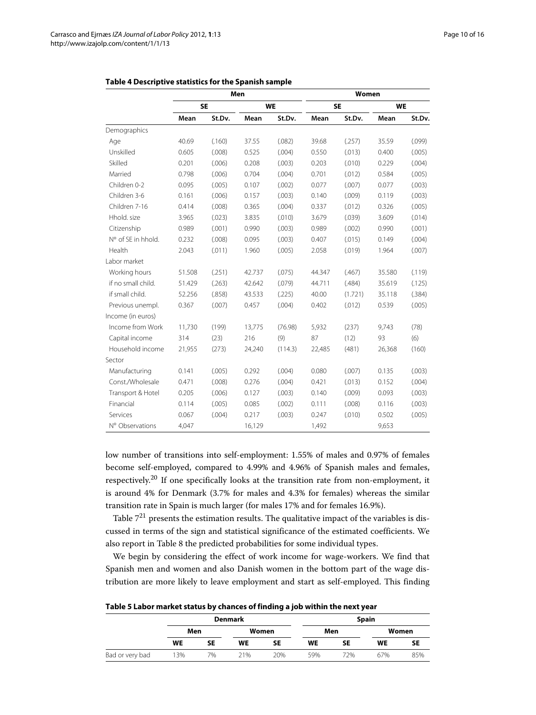<span id="page-9-0"></span>

|                    | Men    |           |        |           | Women  |           |           |        |
|--------------------|--------|-----------|--------|-----------|--------|-----------|-----------|--------|
|                    |        | <b>SE</b> |        | <b>WE</b> |        | <b>SE</b> | <b>WE</b> |        |
|                    | Mean   | St.Dv.    | Mean   | St.Dv.    | Mean   | St.Dv.    | Mean      | St.Dv. |
| Demographics       |        |           |        |           |        |           |           |        |
| Age                | 40.69  | (.160)    | 37.55  | (.082)    | 39.68  | (.257)    | 35.59     | (.099) |
| Unskilled          | 0.605  | (.008)    | 0.525  | (.004)    | 0.550  | (.013)    | 0.400     | (.005) |
| Skilled            | 0.201  | (.006)    | 0.208  | (.003)    | 0.203  | (.010)    | 0.229     | (.004) |
| Married            | 0.798  | (.006)    | 0.704  | (.004)    | 0.701  | (.012)    | 0.584     | (.005) |
| Children 0-2       | 0.095  | (.005)    | 0.107  | (.002)    | 0.077  | (.007)    | 0.077     | (.003) |
| Children 3-6       | 0.161  | (.006)    | 0.157  | (.003)    | 0.140  | (.009)    | 0.119     | (.003) |
| Children 7-16      | 0.414  | (.008)    | 0.365  | (.004)    | 0.337  | (.012)    | 0.326     | (.005) |
| Hhold, size        | 3.965  | (.023)    | 3.835  | (.010)    | 3.679  | (.039)    | 3.609     | (.014) |
| Citizenship        | 0.989  | (.001)    | 0.990  | (.003)    | 0.989  | (.002)    | 0.990     | (.001) |
| N° of SE in hhold. | 0.232  | (.008)    | 0.095  | (.003)    | 0.407  | (.015)    | 0.149     | (.004) |
| Health             | 2.043  | (.011)    | 1.960  | (.005)    | 2.058  | (.019)    | 1.964     | (.007) |
| Labor market       |        |           |        |           |        |           |           |        |
| Working hours      | 51.508 | (.251)    | 42.737 | (.075)    | 44.347 | (.467)    | 35.580    | (.119) |
| if no small child. | 51.429 | (.263)    | 42.642 | (.079)    | 44.711 | (.484)    | 35.619    | (.125) |
| if small child.    | 52.256 | (.858)    | 43.533 | (.225)    | 40.00  | (1.721)   | 35.118    | (.384) |
| Previous unempl.   | 0.367  | (.007)    | 0.457  | (.004)    | 0.402  | (.012)    | 0.539     | (.005) |
| Income (in euros)  |        |           |        |           |        |           |           |        |
| Income from Work   | 11,730 | (199)     | 13,775 | (76.98)   | 5,932  | (237)     | 9,743     | (78)   |
| Capital income     | 314    | (23)      | 216    | (9)       | 87     | (12)      | 93        | (6)    |
| Household income   | 21,955 | (273)     | 24,240 | (114.3)   | 22,485 | (481)     | 26,368    | (160)  |
| Sector             |        |           |        |           |        |           |           |        |
| Manufacturing      | 0.141  | (.005)    | 0.292  | (.004)    | 0.080  | (.007)    | 0.135     | (.003) |
| Const./Wholesale   | 0.471  | (.008)    | 0.276  | (.004)    | 0.421  | (.013)    | 0.152     | (.004) |
| Transport & Hotel  | 0.205  | (.006)    | 0.127  | (.003)    | 0.140  | (.009)    | 0.093     | (.003) |
| Financial          | 0.114  | (.005)    | 0.085  | (.002)    | 0.111  | (.008)    | 0.116     | (.003) |
| Services           | 0.067  | (.004)    | 0.217  | (.003)    | 0.247  | (.010)    | 0.502     | (.005) |
| N° Observations    | 4,047  |           | 16,129 |           | 1,492  |           | 9,653     |        |

#### **Table 4 Descriptive statistics for the Spanish sample**

low number of transitions into self-employment: 1.55% of males and 0.97% of females become self-employed, compared to 4.99% and 4.96% of Spanish males and females, respectively.20 If one specifically looks at the transition rate from non-employment, it is around 4% for Denmark (3.7% for males and 4.3% for females) whereas the similar transition rate in Spain is much larger (for males 17% and for females 16.9%).

Table  $7^{21}$  presents the estimation results. The qualitative impact of the variables is discussed in terms of the sign and statistical significance of the estimated coefficients. We also report in Table [8](#page-11-0) the predicted probabilities for some individual types.

We begin by considering the effect of work income for wage-workers. We find that Spanish men and women and also Danish women in the bottom part of the wage distribution are more likely to leave employment and start as self-employed. This finding

**Table 5 Labor market status by chances of finding a job within the next year**

<span id="page-9-1"></span>

|                 | <b>Denmark</b> |    |           |     | <b>Spain</b> |     |           |     |
|-----------------|----------------|----|-----------|-----|--------------|-----|-----------|-----|
|                 | Men            |    | Women     |     | Men          |     | Women     |     |
|                 | <b>WE</b>      | SΕ | <b>WE</b> | SΕ  | WE           | SE  | <b>WE</b> | SE  |
| Bad or very bad | 13%            | 7% | 21%       | 20% | 59%          | 72% | 67%       | 85% |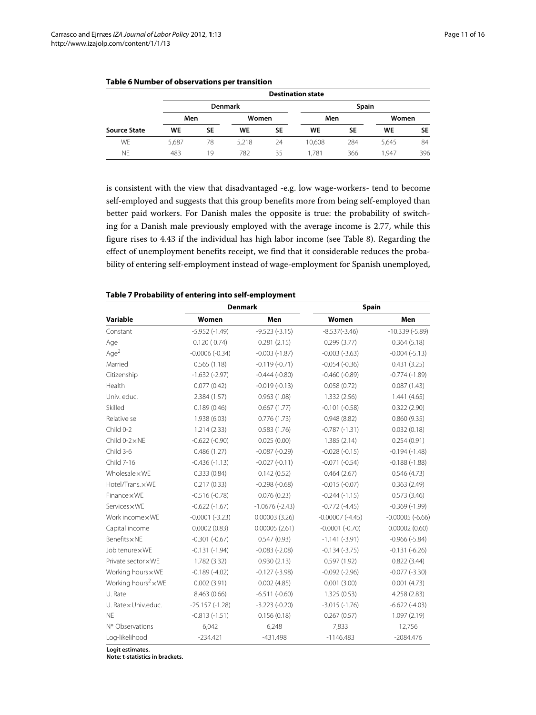<span id="page-10-0"></span>

|                     |           | <b>Destination state</b> |                |    |        |           |       |     |  |  |
|---------------------|-----------|--------------------------|----------------|----|--------|-----------|-------|-----|--|--|
| <b>Source State</b> |           |                          | <b>Denmark</b> |    | Spain  |           |       |     |  |  |
|                     | Men       |                          | Women          |    | Men    |           | Women |     |  |  |
|                     | <b>WE</b> | SE                       | <b>WE</b>      | SE | WE     | <b>SE</b> | WE    | SE  |  |  |
| WE                  | 5,687     | 78                       | 5,218          | 24 | 10.608 | 284       | 5,645 | 84  |  |  |
| <b>NE</b>           | 483       | 19                       | 782            | 35 | 1.781  | 366       | 1.947 | 396 |  |  |

### **Table 6 Number of observations per transition**

is consistent with the view that disadvantaged -e.g. low wage-workers- tend to become self-employed and suggests that this group benefits more from being self-employed than better paid workers. For Danish males the opposite is true: the probability of switching for a Danish male previously employed with the average income is 2.77, while this figure rises to 4.43 if the individual has high labor income (see Table [8\)](#page-11-0). Regarding the effect of unemployment benefits receipt, we find that it considerable reduces the probability of entering self-employment instead of wage-employment for Spanish unemployed,

**Spain** 

|          |                 | Denmark         |          |  |  |  |
|----------|-----------------|-----------------|----------|--|--|--|
| Variable | Women           | Men             | Woı      |  |  |  |
| Constant | $-5.952(-1.49)$ | $-9.523(-3.15)$ | $-8.537$ |  |  |  |

<span id="page-10-1"></span>**Table 7 Probability of entering into self-employment**

| Variable                               | Women            | Men              | Women             | Men                |
|----------------------------------------|------------------|------------------|-------------------|--------------------|
| Constant                               | $-5.952(-1.49)$  | $-9.523(-3.15)$  | $-8.537(-3.46)$   | $-10.339(-5.89)$   |
| Age                                    | 0.120(0.74)      | 0.281(2.15)      | 0.299(3.77)       | 0.364(5.18)        |
| Age <sup>2</sup>                       | $-0.0006(-0.34)$ | $-0.003(-1.87)$  | $-0.003(-3.63)$   | $-0.004(-5.13)$    |
| Married                                | 0.565(1.18)      | $-0.119(-0.71)$  | $-0.054(-0.36)$   | 0.431(3.25)        |
| Citizenship                            | $-1.632(-2.97)$  | $-0.444(-0.80)$  | $-0.460(-0.89)$   | $-0.774(-1.89)$    |
| Health                                 | 0.077(0.42)      | $-0.019(-0.13)$  | 0.058(0.72)       | 0.087(1.43)        |
| Univ. educ.                            | 2.384(1.57)      | 0.963(1.08)      | 1.332 (2.56)      | 1.441(4.65)        |
| Skilled                                | 0.189(0.46)      | 0.667(1.77)      | $-0.101(-0.58)$   | 0.322(2.90)        |
| Relative se                            | 1.938 (6.03)     | 0.776(1.73)      | 0.948(8.82)       | 0.860(9.35)        |
| Child 0-2                              | 1.214(2.33)      | 0.583(1.76)      | $-0.787(-1.31)$   | 0.032(0.18)        |
| Child $0-2\times$ NE                   | $-0.622(-0.90)$  | 0.025(0.00)      | 1.385(2.14)       | 0.254(0.91)        |
| Child 3-6                              | 0.486(1.27)      | $-0.087(-0.29)$  | $-0.028(-0.15)$   | $-0.194(-1.48)$    |
| Child 7-16                             | $-0.436(-1.13)$  | $-0.027(-0.11)$  | $-0.071(-0.54)$   | $-0.188(-1.88)$    |
| WholesalexWE                           | 0.333(0.84)      | 0.142(0.52)      | 0.464(2.67)       | 0.546(4.73)        |
| Hotel/Trans.xWE                        | 0.217(0.33)      | $-0.298(-0.68)$  | $-0.015(-0.07)$   | 0.363(2.49)        |
| $Finance \times WE$                    | $-0.516(-0.78)$  | 0.076(0.23)      | $-0.244(-1.15)$   | 0.573(3.46)        |
| Services $\times$ WE                   | $-0.622(-1.67)$  | $-1.0676(-2.43)$ | $-0.772(-4.45)$   | $-0.369(-1.99)$    |
| Work income x WE                       | $-0.0001(-3.23)$ | 0.00003(3.26)    | $-0.00007(-4.45)$ | $-0.00005(-6.66)$  |
| Capital income                         | 0.0002(0.83)     | 0.00005(2.61)    | $-0.0001(-0.70)$  | 0.00002(0.60)      |
| Benefits $\times$ NE                   | $-0.301(-0.67)$  | 0.547(0.93)      | $-1.141(-3.91)$   | $-0.966(-5.84)$    |
| Job tenure xWE                         | $-0.131(-1.94)$  | $-0.083(-2.08)$  | $-0.134(-3.75)$   | $-0.131(-6.26)$    |
| Private sector x WE                    | 1.782 (3.32)     | 0.930(2.13)      | 0.597(1.92)       | 0.822(3.44)        |
| Working hours x WE                     | $-0.189(-4.02)$  | $-0.127(-3.98)$  | $-0.092(-2.96)$   | $-0.077$ $(-3.30)$ |
| Working hours <sup>2</sup> $\times$ WE | 0.002(3.91)      | 0.002(4.85)      | 0.001(3.00)       | 0.001(4.73)        |
| U. Rate                                | 8.463 (0.66)     | $-6.511(-0.60)$  | 1.325(0.53)       | 4.258 (2.83)       |
| U. Rate x Univ.educ.                   | $-25.157(-1.28)$ | $-3.223(-0.20)$  | $-3.015(-1.76)$   | $-6.622(-4.03)$    |
| <b>NE</b>                              | $-0.813(-1.51)$  | 0.156(0.18)      | 0.267(0.57)       | 1.097(2.19)        |
| N° Observations                        | 6,042            | 6,248            | 7,833             | 12,756             |
| Log-likelihood                         | $-234.421$       | -431.498         | $-1146.483$       | $-2084.476$        |

**Logit estimates.**

**Note: t-statistics in brackets.**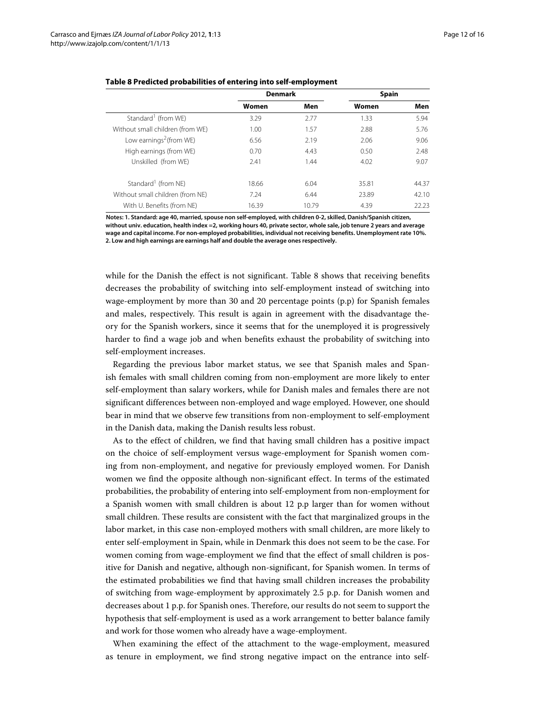<span id="page-11-0"></span>

|                                     | <b>Denmark</b> |       | <b>Spain</b> |       |
|-------------------------------------|----------------|-------|--------------|-------|
|                                     | Women          | Men   | Women        | Men   |
| Standard <sup>1</sup> (from WE)     | 3.29           | 2.77  | 1.33         | 5.94  |
| Without small children (from WE)    | 1.00           | 1.57  | 2.88         | 5.76  |
| Low earnings <sup>2</sup> (from WE) | 6.56           | 2.19  | 2.06         | 9.06  |
| High earnings (from WE)             | 0.70           | 4.43  | 0.50         | 2.48  |
| Unskilled (from WE)                 | 2.41           | 1.44  | 4.02         | 9.07  |
|                                     |                |       |              |       |
| Standard <sup>1</sup> (from NE)     | 18.66          | 6.04  | 35.81        | 44.37 |
| Without small children (from NE)    | 7.24           | 6.44  | 23.89        | 42.10 |
| With U. Benefits (from NE)          | 16.39          | 10.79 | 4.39         | 22.23 |

#### **Table 8 Predicted probabilities of entering into self-employment**

**Notes: 1. Standard: age 40, married, spouse non self-employed, with children 0-2, skilled, Danish/Spanish citizen, without univ. education, health index =2, working hours 40, private sector, whole sale, job tenure 2 years and average wage and capital income. For non-employed probabilities, individual not receiving benefits. Unemployment rate 10%. 2. Low and high earnings are earnings half and double the average ones respectively.**

while for the Danish the effect is not significant. Table 8 shows that receiving benefits decreases the probability of switching into self-employment instead of switching into wage-employment by more than 30 and 20 percentage points (p.p) for Spanish females and males, respectively. This result is again in agreement with the disadvantage theory for the Spanish workers, since it seems that for the unemployed it is progressively harder to find a wage job and when benefits exhaust the probability of switching into self-employment increases.

Regarding the previous labor market status, we see that Spanish males and Spanish females with small children coming from non-employment are more likely to enter self-employment than salary workers, while for Danish males and females there are not significant differences between non-employed and wage employed. However, one should bear in mind that we observe few transitions from non-employment to self-employment in the Danish data, making the Danish results less robust.

As to the effect of children, we find that having small children has a positive impact on the choice of self-employment versus wage-employment for Spanish women coming from non-employment, and negative for previously employed women. For Danish women we find the opposite although non-significant effect. In terms of the estimated probabilities, the probability of entering into self-employment from non-employment for a Spanish women with small children is about 12 p.p larger than for women without small children. These results are consistent with the fact that marginalized groups in the labor market, in this case non-employed mothers with small children, are more likely to enter self-employment in Spain, while in Denmark this does not seem to be the case. For women coming from wage-employment we find that the effect of small children is positive for Danish and negative, although non-significant, for Spanish women. In terms of the estimated probabilities we find that having small children increases the probability of switching from wage-employment by approximately 2.5 p.p. for Danish women and decreases about 1 p.p. for Spanish ones. Therefore, our results do not seem to support the hypothesis that self-employment is used as a work arrangement to better balance family and work for those women who already have a wage-employment.

When examining the effect of the attachment to the wage-employment, measured as tenure in employment, we find strong negative impact on the entrance into self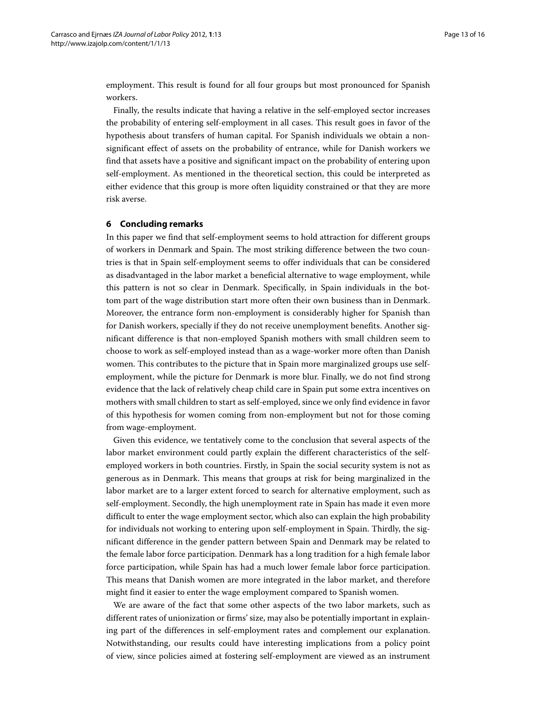employment. This result is found for all four groups but most pronounced for Spanish workers.

Finally, the results indicate that having a relative in the self-employed sector increases the probability of entering self-employment in all cases. This result goes in favor of the hypothesis about transfers of human capital. For Spanish individuals we obtain a nonsignificant effect of assets on the probability of entrance, while for Danish workers we find that assets have a positive and significant impact on the probability of entering upon self-employment. As mentioned in the theoretical section, this could be interpreted as either evidence that this group is more often liquidity constrained or that they are more risk averse.

#### **6 Concluding remarks**

In this paper we find that self-employment seems to hold attraction for different groups of workers in Denmark and Spain. The most striking difference between the two countries is that in Spain self-employment seems to offer individuals that can be considered as disadvantaged in the labor market a beneficial alternative to wage employment, while this pattern is not so clear in Denmark. Specifically, in Spain individuals in the bottom part of the wage distribution start more often their own business than in Denmark. Moreover, the entrance form non-employment is considerably higher for Spanish than for Danish workers, specially if they do not receive unemployment benefits. Another significant difference is that non-employed Spanish mothers with small children seem to choose to work as self-employed instead than as a wage-worker more often than Danish women. This contributes to the picture that in Spain more marginalized groups use selfemployment, while the picture for Denmark is more blur. Finally, we do not find strong evidence that the lack of relatively cheap child care in Spain put some extra incentives on mothers with small children to start as self-employed, since we only find evidence in favor of this hypothesis for women coming from non-employment but not for those coming from wage-employment.

Given this evidence, we tentatively come to the conclusion that several aspects of the labor market environment could partly explain the different characteristics of the selfemployed workers in both countries. Firstly, in Spain the social security system is not as generous as in Denmark. This means that groups at risk for being marginalized in the labor market are to a larger extent forced to search for alternative employment, such as self-employment. Secondly, the high unemployment rate in Spain has made it even more difficult to enter the wage employment sector, which also can explain the high probability for individuals not working to entering upon self-employment in Spain. Thirdly, the significant difference in the gender pattern between Spain and Denmark may be related to the female labor force participation. Denmark has a long tradition for a high female labor force participation, while Spain has had a much lower female labor force participation. This means that Danish women are more integrated in the labor market, and therefore might find it easier to enter the wage employment compared to Spanish women.

We are aware of the fact that some other aspects of the two labor markets, such as different rates of unionization or firms' size, may also be potentially important in explaining part of the differences in self-employment rates and complement our explanation. Notwithstanding, our results could have interesting implications from a policy point of view, since policies aimed at fostering self-employment are viewed as an instrument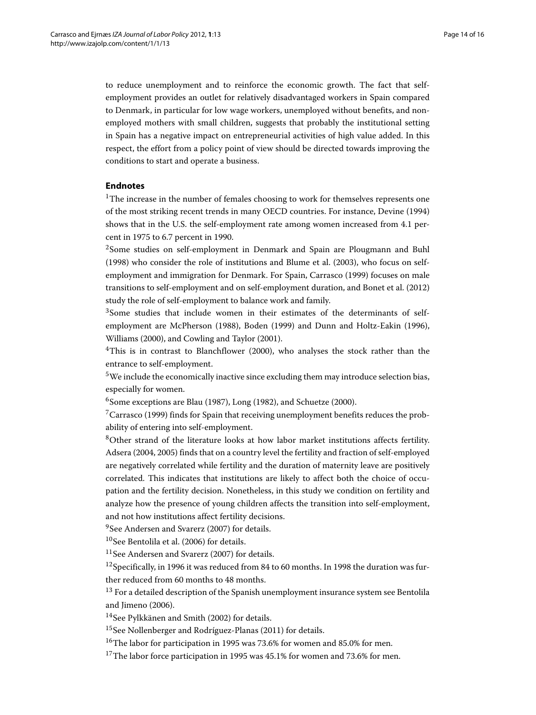to reduce unemployment and to reinforce the economic growth. The fact that selfemployment provides an outlet for relatively disadvantaged workers in Spain compared to Denmark, in particular for low wage workers, unemployed without benefits, and nonemployed mothers with small children, suggests that probably the institutional setting in Spain has a negative impact on entrepreneurial activities of high value added. In this respect, the effort from a policy point of view should be directed towards improving the conditions to start and operate a business.

### **Endnotes**

<sup>1</sup>The increase in the number of females choosing to work for themselves represents one of the most striking recent trends in many OECD countries. For instance, Devine [\(1994\)](#page-14-3) shows that in the U.S. the self-employment rate among women increased from 4.1 percent in 1975 to 6.7 percent in 1990.

<sup>2</sup>Some studies on self-employment in Denmark and Spain are Plougmann and Buhl [\(1998\)](#page-15-7) who consider the role of institutions and Blume et al. [\(2003\)](#page-14-11), who focus on selfemployment and immigration for Denmark. For Spain, Carrasco [\(1999\)](#page-14-12) focuses on male transitions to self-employment and on self-employment duration, and Bonet et al. [\(2012\)](#page-14-6) study the role of self-employment to balance work and family.

<sup>3</sup>Some studies that include women in their estimates of the determinants of selfemployment are McPherson [\(1988\)](#page-15-8), Boden [\(1999\)](#page-14-13) and Dunn and Holtz-Eakin (1996), Williams [\(2000\)](#page-15-9), and Cowling and Taylor [\(2001\)](#page-14-14).

4This is in contrast to Blanchflower [\(2000\)](#page-14-0), who analyses the stock rather than the entrance to self-employment.

5We include the economically inactive since excluding them may introduce selection bias, especially for women.

<sup>6</sup>Some exceptions are Blau [\(1987\)](#page-14-15), Long [\(1982\)](#page-15-10), and Schuetze [\(2000\)](#page-15-11).

 $7$ Carrasco [\(1999\)](#page-14-12) finds for Spain that receiving unemployment benefits reduces the probability of entering into self-employment.

8Other strand of the literature looks at how labor market institutions affects fertility. Adsera [\(2004,](#page-14-16) [2005\)](#page-14-17) finds that on a country level the fertility and fraction of self-employed are negatively correlated while fertility and the duration of maternity leave are positively correlated. This indicates that institutions are likely to affect both the choice of occupation and the fertility decision. Nonetheless, in this study we condition on fertility and analyze how the presence of young children affects the transition into self-employment, and not how institutions affect fertility decisions.

<sup>9</sup>See Andersen and Svarerz [\(2007\)](#page-14-18) for details.

<sup>10</sup>See Bentolila et al. [\(2006\)](#page-14-19) for details.

11See Andersen and Svarerz [\(2007\)](#page-14-18) for details.

<sup>12</sup>Specifically, in 1996 it was reduced from 84 to 60 months. In 1998 the duration was further reduced from 60 months to 48 months.

 $^{13}$  For a detailed description of the Spanish unemployment insurance system see Bentolila and Jimeno [\(2006\)](#page-14-19).

<sup>14</sup>See Pylkkänen and Smith [\(2002\)](#page-15-12) for details.

15See Nollenberger and Rodríguez-Planas [\(2011\)](#page-15-13) for details.

<sup>16</sup>The labor for participation in 1995 was 73.6% for women and 85.0% for men.

<sup>17</sup>The labor force participation in 1995 was  $45.1\%$  for women and 73.6% for men.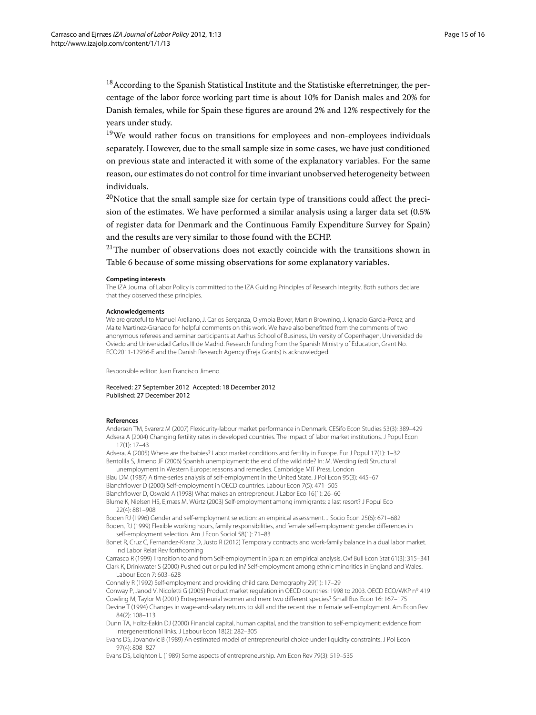<sup>18</sup> According to the Spanish Statistical Institute and the Statistiske efterretninger, the percentage of the labor force working part time is about 10% for Danish males and 20% for Danish females, while for Spain these figures are around 2% and 12% respectively for the years under study.

 $19$ We would rather focus on transitions for employees and non-employees individuals separately. However, due to the small sample size in some cases, we have just conditioned on previous state and interacted it with some of the explanatory variables. For the same reason, our estimates do not control for time invariant unobserved heterogeneity between individuals.

<sup>20</sup>Notice that the small sample size for certain type of transitions could affect the precision of the estimates. We have performed a similar analysis using a larger data set (0.5% of register data for Denmark and the Continuous Family Expenditure Survey for Spain) and the results are very similar to those found with the ECHP.

 $21$ <sup>21</sup>The number of observations does not exactly coincide with the transitions shown in Table 6 because of some missing observations for some explanatory variables.

#### **Competing interests**

The IZA Journal of Labor Policy is committed to the IZA Guiding Principles of Research Integrity. Both authors declare that they observed these principles.

#### **Acknowledgements**

We are grateful to Manuel Arellano, J. Carlos Berganza, Olympia Bover, Martin Browning, J. Ignacio Garcia-Perez, and Maite Martinez-Granado for helpful comments on this work. We have also benefitted from the comments of two anonymous referees and seminar participants at Aarhus School of Business, University of Copenhagen, Universidad de Oviedo and Universidad Carlos III de Madrid. Research funding from the Spanish Ministry of Education, Grant No. ECO2011-12936-E and the Danish Research Agency (Freja Grants) is acknowledged.

Responsible editor: Juan Francisco Jimeno.

Received: 27 September 2012 Accepted: 18 December 2012 Published: 27 December 2012

#### **References**

<span id="page-14-18"></span><span id="page-14-16"></span>Andersen TM, Svarerz M (2007) Flexicurity-labour market performance in Denmark. CESifo Econ Studies 53(3): 389–429 Adsera A (2004) Changing fertility rates in developed countries. The impact of labor market institutions. J Popul Econ 17(1): 17–43

<span id="page-14-17"></span>Adsera, A (2005) Where are the babies? Labor market conditions and fertility in Europe. Eur J Popul 17(1): 1–32 Bentolila S, Jimeno JF (2006) Spanish unemployment: the end of the wild ride? In: M. Werding (ed) Structural

<span id="page-14-19"></span>unemployment in Western Europe: reasons and remedies. Cambridge MIT Press, London Blau DM (1987) A time-series analysis of self-employment in the United State. J Pol Econ 95(3): 445–67

<span id="page-14-15"></span><span id="page-14-0"></span>Blanchflower D (2000) Self-employment in OECD countries. Labour Econ 7(5): 471–505

<span id="page-14-8"></span>Blanchflower D, Oswald A (1998) What makes an entrepreneur. J Labor Eco 16(1): 26–60

<span id="page-14-11"></span>Blume K, Nielsen HS, Ejrnæs M, Würtz (2003) Self-employment among immigrants: a last resort? J Popul Eco 22(4): 881–908

<span id="page-14-5"></span>Boden RJ (1996) Gender and self-employment selection: an empirical assessment. J Socio Econ 25(6): 671–682

<span id="page-14-13"></span>Boden, RJ (1999) Flexible working hours, family responsibilities, and female self-employment: gender differences in self-employment selection. Am J Econ Sociol 58(1): 71–83

<span id="page-14-6"></span>Bonet R, Cruz C, Fernandez-Kranz D, Justo R (2012) Temporary contracts and work-family balance in a dual labor market. Ind Labor Relat Rev forthcoming

<span id="page-14-12"></span><span id="page-14-4"></span>Carrasco R (1999) Transition to and from Self-employment in Spain: an empirical analysis. Oxf Bull Econ Stat 61(3): 315–341 Clark K, Drinkwater S (2000) Pushed out or pulled in? Self-employment among ethnic minorities in England and Wales. Labour Econ 7: 603–628

<span id="page-14-7"></span>Connelly R (1992) Self-employment and providing child care. Demography 29(1): 17–29

- <span id="page-14-10"></span>Conway P, Janod V, Nicoletti G (2005) Product market regulation in OECD countries: 1998 to 2003. OECD ECO/WKP n◦ 419 Cowling M, Taylor M (2001) Entrepreneurial women and men: two different species? Small Bus Econ 16: 167–175
- <span id="page-14-14"></span><span id="page-14-3"></span>Devine T (1994) Changes in wage-and-salary returns to skill and the recent rise in female self-employment. Am Econ Rev 84(2): 108–113
- <span id="page-14-9"></span>Dunn TA, Holtz-Eakin DJ (2000) Financial capital, human capital, and the transition to self-employment: evidence from intergenerational links. J Labour Econ 18(2): 282–305
- <span id="page-14-1"></span>Evans DS, Jovanovic B (1989) An estimated model of entrepreneurial choice under liquidity constraints. J Pol Econ 97(4): 808–827

<span id="page-14-2"></span>Evans DS, Leighton L (1989) Some aspects of entrepreneurship. Am Econ Rev 79(3): 519–535